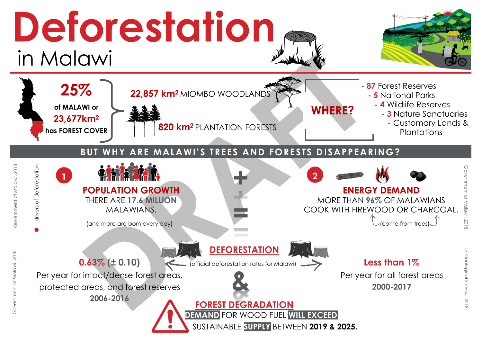